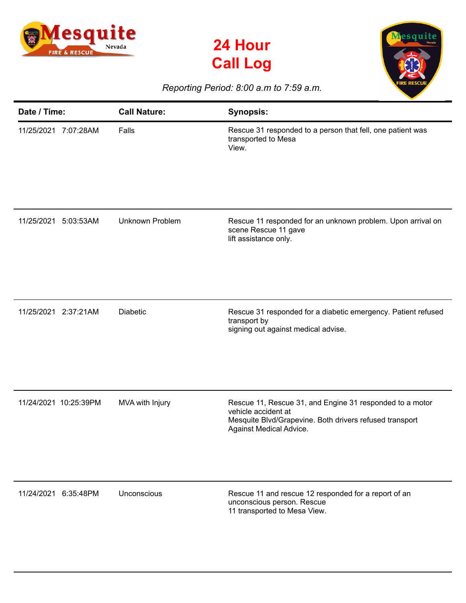





## *Reporting Period: 8:00 a.m to 7:59 a.m.*

| Date / Time:            | <b>Call Nature:</b>    | <b>Synopsis:</b>                                                                                                                                                      |
|-------------------------|------------------------|-----------------------------------------------------------------------------------------------------------------------------------------------------------------------|
| 11/25/2021<br>7:07:28AM | Falls                  | Rescue 31 responded to a person that fell, one patient was<br>transported to Mesa<br>View.                                                                            |
| 11/25/2021<br>5:03:53AM | <b>Unknown Problem</b> | Rescue 11 responded for an unknown problem. Upon arrival on<br>scene Rescue 11 gave<br>lift assistance only.                                                          |
| 11/25/2021<br>2:37:21AM | <b>Diabetic</b>        | Rescue 31 responded for a diabetic emergency. Patient refused<br>transport by<br>signing out against medical advise.                                                  |
| 11/24/2021 10:25:39PM   | MVA with Injury        | Rescue 11, Rescue 31, and Engine 31 responded to a motor<br>vehicle accident at<br>Mesquite Blvd/Grapevine. Both drivers refused transport<br>Against Medical Advice. |
| 11/24/2021 6:35:48PM    | Unconscious            | Rescue 11 and rescue 12 responded for a report of an<br>unconscious person. Rescue<br>11 transported to Mesa View.                                                    |